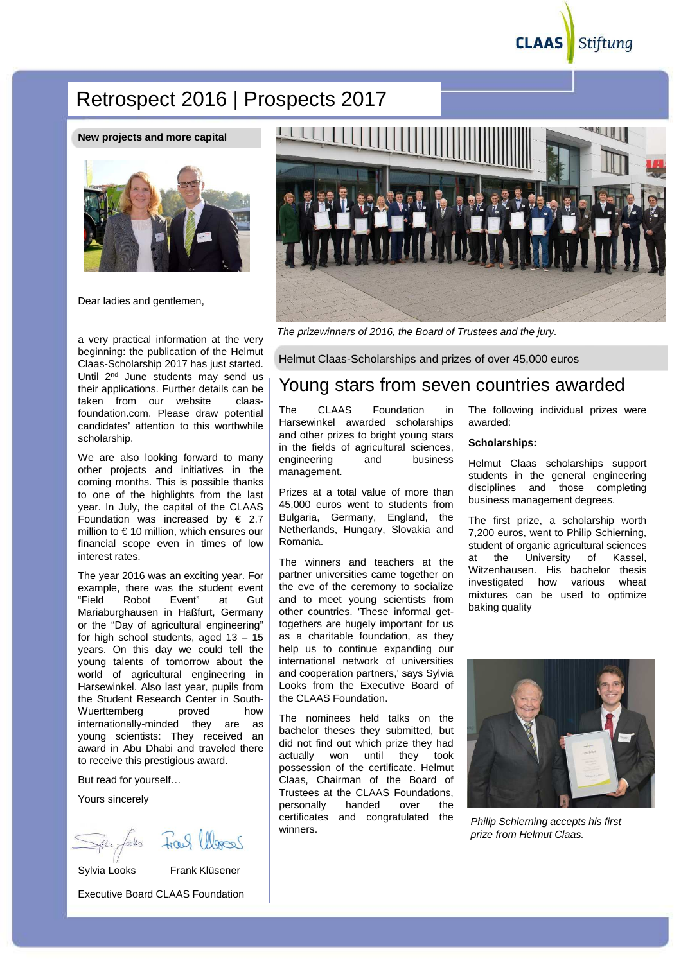Stiftung

# Retrospect 2016 | Prospects 2017

**New projects and more capital**



Dear ladies and gentlemen.

a very practical information at the very beginning: the publication of the Helmut Claas-Scholarship 2017 has just started. Until 2<sup>nd</sup> June students may send us their applications. Further details can be taken from our website claasfoundation.com. Please draw potential candidates' attention to this worthwhile scholarship.

We are also looking forward to many other projects and initiatives in the coming months. This is possible thanks to one of the highlights from the last year. In July, the capital of the CLAAS Foundation was increased by  $\epsilon$  2.7 million to € 10 million, which ensures our financial scope even in times of low interest rates.

The year 2016 was an exciting year. For example, there was the student event "Field Robot Event" at Gut Mariaburghausen in Haßfurt, Germany or the "Day of agricultural engineering" for high school students, aged  $13 - 15$ years. On this day we could tell the young talents of tomorrow about the world of agricultural engineering in Harsewinkel. Also last year, pupils from the Student Research Center in South-Wuerttemberg proved how internationally-minded they are as young scientists: They received an award in Abu Dhabi and traveled there to receive this prestigious award.

But read for yourself…

Yours sincerely

Sylvia Looks Frank Klüsener

Executive Board CLAAS Foundation



The prizewinners of 2016, the Board of Trustees and the jury.

Helmut Claas-Scholarships and prizes of over 45,000 euros

### Young stars from seven countries awarded

The CLAAS Foundation in Harsewinkel awarded scholarships and other prizes to bright young stars in the fields of agricultural sciences, engineering and business management.

Prizes at a total value of more than 45,000 euros went to students from Bulgaria, Germany, England, the Netherlands, Hungary, Slovakia and Romania.

The winners and teachers at the partner universities came together on the eve of the ceremony to socialize and to meet young scientists from other countries. 'These informal gettogethers are hugely important for us as a charitable foundation, as they help us to continue expanding our international network of universities and cooperation partners,' says Sylvia Looks from the Executive Board of the CLAAS Foundation.

The nominees held talks on the bachelor theses they submitted, but did not find out which prize they had actually won until they took possession of the certificate. Helmut Claas, Chairman of the Board of Trustees at the CLAAS Foundations, personally handed over the certificates and congratulated the winners.

The following individual prizes were awarded:

### **Scholarships:**

Helmut Claas scholarships support students in the general engineering disciplines and those completing business management degrees.

The first prize, a scholarship worth 7,200 euros, went to Philip Schierning, student of organic agricultural sciences at the University of Kassel, Witzenhausen. His bachelor thesis investigated how various wheat mixtures can be used to optimize baking quality



Philip Schierning accepts his first prize from Helmut Claas.